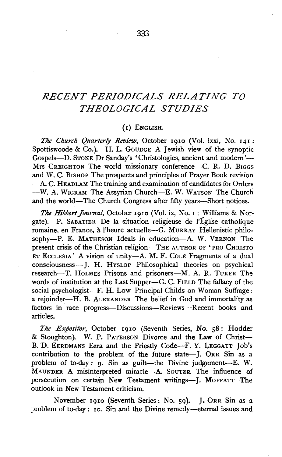# *RECENT PERIODICALS RELATING TO THEOLOGICAL STUDIES*

#### (I) ENGLISH.

The Church Quarterly Review, October 1910 (Vol. lxxi, No. 141: Spottiswoode & Co.). H. L. GOUDGE A Jewish view of the synoptic Gospels-D. STONE Dr Sanday's 'Christologies, ancient and modern'- Mrs CREIGHTON The world missionary conference-C. R. D. BIGGS and W. C. BISHOP The prospects and principles of Prayer Book revision -A. C. HEADLAM The training and examination of candidates for Orders -W. A. WIGRAM The Assyrian Church-E. W. WATSON The Church and the world—The Church Congress after fifty years—Short notices.

The Hibbert Journal, October 1910 (Vol. ix, No. 1: Williams & Norgate). P. SABATIER De la situation religieuse de l'Eglise catholique romaine, en France, à l'heure actuelle-G. MURRAY Hellenistic philosophy--P. E. MATHESON Ideals in education---A. W. VERNON The present crisis of the Christian religion-THE AUTHOR OF 'PRO CHRISTO ET EccLESIA' A vision of unity-A. M. F. CoLE Fragments of a dual consciousness-J. H. HvsLOP Philosophical theories on psychical research-T. HOLMES Prisons and prisoners-M. A. R. TUKER The words of institution at the Last Supper-G. C. FIELD The fallacy of the social psychologist-F. H. Low Principal Childs on Woman Suffrage: a rejoinder-H. B. ALEXANDER The belief in God and immortality as factors in race progress---Discussions--Reviews---Recent books and articles.

*The Expositor,* October 1910 (Seventh Series, No. 58: Hodder & Stoughton). W. P. PATERSON Divorce and the Law of Christ-B. D. EERDMANS Ezra and the Priestly Code-F. Y. LEGGATT Job's contribution to the problem of the future state-J. ORR Sin as a problem of to-day : 9. Sin as guilt-the Divine judgement-E. W. MAUNDER A misinterpreted miracle-A. SoUTER The influence of persecution on certain New Testament writings-J. MOFFATT The outlook in New Testament criticism.

November 1910 (Seventh Series: No. 59). J. 0RR Sin as a problem of to-day: ro. Sin and the Divine remedy-eternal issues and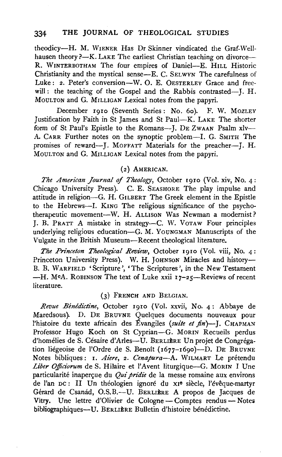### 334 THE JOURNAL OF THEOLOGICAL STUDIES

theodicy-H. M. WIENER Has Dr Skinner vindicated the Graf-Wellhausen theory ?-K. LAKE The earliest Christian teaching on divorce-R. WINTERBOTHAM The four empires of Daniel-E. HILL Historic Christianity and the mystical sense-E. C. SELWYN The carefulness of Luke: 2. Peter's conversion-W. O. E. OESTERLEY Grace and freewill: the teaching of the Gospel and the Rabbis contrasted--J. H. MouLTON and G. MrLLIGAN Lexical notes from the papyri.

December rgro (Seventh Series: No. 6o). F. W. MozLEY Justification by Faith in St James and St Paui-K. LAKE The shorter form of St Paul's Epistle to the Romans-J. DE ZWAAN Psalm xlv-A. CARR Further notes on the synoptic problem--I. G. SMITH The promises of reward--J. MOFFATT Materials for the preacher-J. H. MoULTON and G. MrLLIGAN Lexical notes from the papyri.

### (2) AMERICAN.

The American Journal of Theology, October 1910 (Vol. xiv, No. 4: Chicago University Press). C. E. SEASHORE The play impulse and attitude in religion-G. H. GILBERT The Greek element in the Epistle to the Hebrews---I. KING The religious significance of the psychotherapeutic movement-W. H. ALLISON Was Newman a modernist? J. B. PRATT *A* mistake in strategy-C. W. VoTAW Four principles underlying religious education-G. M. YOUNGMAN Manuscripts of the Vulgate in the British Museum-Recent theological literature.

*The Princeton Theological Review, October 1910 (Vol. viii, No. 4:* Princeton University Press). W. H. JOHNSON Miracles and history- $B = W_1$  prince (Scripture),  $W_2$ . B. JOHNSON MITAGES and instory-B. WARFIELD 'Scripture', 'The Scriptures', in the New Testament<br>H. McA. Robinson The text of Luke wiji 17-25. Reviews of recent -H. McA. ROBINSON The text of Luke xxii  $17-25$ —Reviews of recent literature.

#### (3) FRENCH AND BELGIAN.

*Revue Benedictine,* October rgro (Vol. xxvii, No. 4: Abbaye de Maredsous). D. DE BRUYNE Quelques documents nouveaux pour l'histoire du texte africain des Évangiles *(suite et fin)*-J. CHAPMAN Professor Hugo Koch on St Cyprian-G. MoRIN Recueils perdus d'homélies de S. Césaire d'Arles-U. BERLIÈRE Un projet de Congrégation liégeoise de l'Ordre de S. Benoît ( $1677-1690$ )--D. DE BRUYNE Notes bibliques: r. *Aiere,* 2. *Cenapura-A.* WILMART Le pretendu Liber Officiorum de S. Hilaire et l'Avent liturgique-G. MORIN I Une particularité inaperçue du *Qui pridie* de la messe romaine aux environs de l'an DC: II Un théologien ignoré du xie siècle, l'évêque-martyr Gerard de Csanad, O.S.B.-U. BERLIERE *A* propos de Jacques de Vitry. Une lettre d'Olivier de Cologne- Comptes rend us- Notes Vitry. Une lettre d'Olivier de Cologne - Comptes rendus - Notes bibliographiques-U. BERLIÈRE Bulletin d'histoire bénédictine.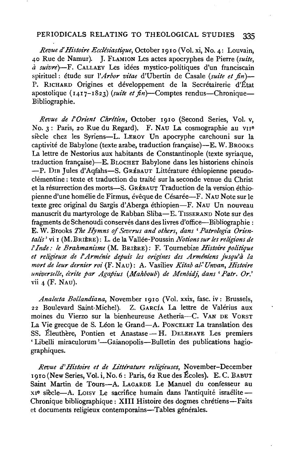## PERIODICALS RELATING TO THEOLOGICAL STUDIES 335

*Revue d'Histoire Ecclésiastique*, October 1910 (Vol. xi, No. 4: Louvain, 40 Rue de Namur). J. FLAMION Les actes apocryphes de Pierre *(suite, a suivre)-F.* CALLAEY Les idees mystico-politiques d'un franciscain spirituel: étude sur *l'Arbor vitae* d'Ubertin de Casale *(suite et fin)*— P. RICHARD Origines et développement de la Secrétairerie d'État apostolique  $(I_4I_7-I_823)$  *(suite et fin*)-Comptes rendus-Chronique-Bibliographie.

*Revue de l'Orient Chrétien*, October 1910 (Second Series, Vol. v, No. 3: Paris, 20 Rue du Regard). F. NAU La cosmographie au vii<sup>e</sup> siècle chez les Syriens-L. LEROY Un apocryphe carchouni sur la captivité de Babylone (texte arabe, traduction française)—E. W. BROOKS La lettre de Nestorius aux habitants de Constantinople (texte syriaque, traduction française)-E. BLOCHET Babylone dans les historiens chinois -P. DIB Jules d'Aqfahs-S. GRÉBAUT Littérature éthiopienne pseudoclémentine: texte et traduction du traité sur la seconde venue du Christ et la résurrection des morts-S. GRÉBAUT Traduction de la version éthiopienne d'une homélie de Firmus, évêque de Césarée---F. NAU Note sur le texte grec original du Sargis d'Aberga ethiopien-F. NAU Un nouveau manuscrit du martyrologe de Rabban Sliba-E. TISSERAND Note sur des fragments de Schenoudi conserves dans des livres d'office-Bibliographie : E. W. Brooks *The Hymns of Severus and others, dans 'Patrologia Orientalis'* vi I (M.BRIERE): L. de la Vallee-Poussin *Notions sur les religions de*  l' *Inde: le Brahmanisme* (M. BRIERE): F. Tournebize *Histoire politique et religieuse de l' Armlnie depuis les ongines des Armeniens fusqu'a la mort de leur dernier roi* (F. NAu): A. Vasiliev *Kitab al-' Unvan, Histoire universe/le, fcrite par Agapius (Mahboub) de Menbidj, dans 'Patr. Or.'*  vii 4 (F. NAu).

*Analecta Bollandiana,* November I9IO (Vol. xxix, fasc. iv: Brussels, 22 Boulevard Saint-Michel). Z. GARcfA La lettre de Valerius aux moines du Vierzo sur la bienheureuse Aetheria-C. VAN DE VORST La Vie grecque de S. Léon le Grand-A. PONCELET La translation des SS. Éleuthère, Pontien et Anastase - H. DELEHAYE Les premiers 'Libelli miraculorum'-Gaianopolis-Bulletin des publications hagiographiques.

Revue d'Histoire et de Littérature religieuses, November-December  $1910$  (New Series, Vol. i, No. 6: Paris, 62 Rue des Écoles). E. C. BABUT Saint Martin de Tours-A. LAGARDE Le Manuel du confesseur au x1<sup>e</sup> siècle-A. Loisy Le sacrifice humain dans l'antiquité israélite-Chronique bibliographique: XIII Histoire des dogmes chrétiens-Faits et documents religieux contemporains-Tables générales.